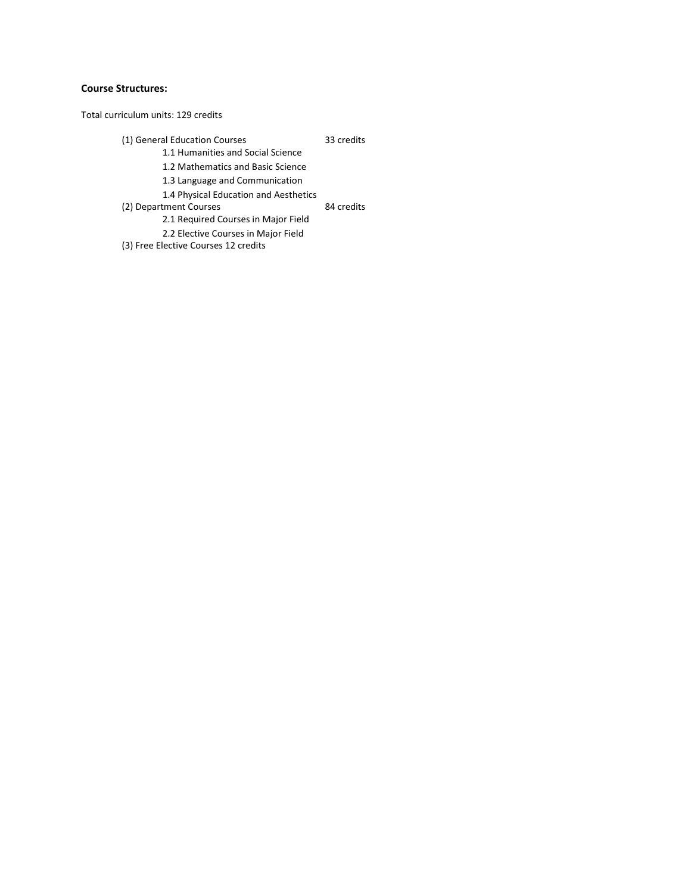## **Course Structures:**

Total curriculum units: 129 credits

(1) General Education Courses 33 credits 1.1 Humanities and Social Science 1.2 Mathematics and Basic Science 1.3 Language and Communication 1.4 Physical Education and Aesthetics

(2) Department Courses 84 credits

2.1 Required Courses in Major Field 2.2 Elective Courses in Major Field

(3) Free Elective Courses 12 credits